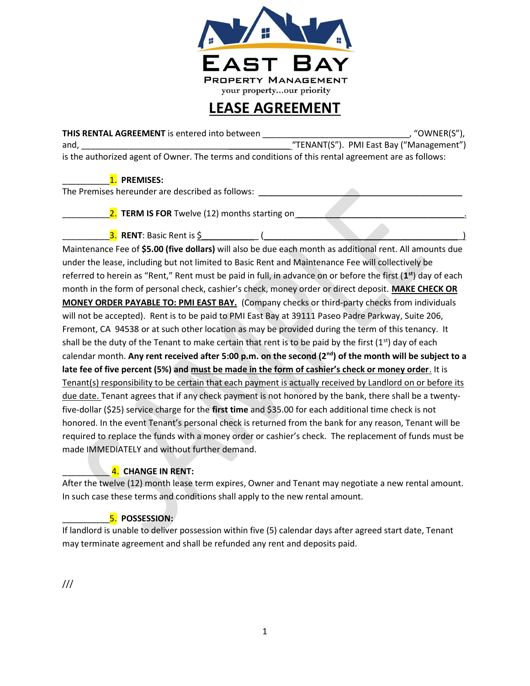

# LEASE AGREEMENT

THIS RENTAL AGREEMENT is entered into between \_\_\_\_\_\_\_\_\_\_\_\_\_\_\_\_\_\_\_\_\_\_\_\_\_\_\_\_\_\_\_, "OWNER(S"), and, the contract of the contract of the contract of the contract of the contract of the contract of the contract of the contract of the contract of the contract of the contract of the contract of the contract of the contr is the authorized agent of Owner. The terms and conditions of this rental agreement are as follows:

1. PREMISES:

The Premises hereunder are described as follows: \_\_\_\_\_\_\_\_\_\_\_\_\_\_\_\_\_\_\_\_\_\_\_\_\_\_\_\_\_\_\_

2. TERM IS FOR Twelve (12) months starting on

 $\overline{\mathbf{3.}}$  RENT: Basic Rent is \$  $\qquad \qquad$  (

Maintenance Fee of \$5.00 (five dollars) will also be due each month as additional rent. All amounts due under the lease, including but not limited to Basic Rent and Maintenance Fee will collectively be referred to herein as "Rent," Rent must be paid in full, in advance on or before the first (1<sup>st</sup>) day of each month in the form of personal check, cashier's check, money order or direct deposit. MAKE CHECK OR MONEY ORDER PAYABLE TO: PMI EAST BAY. (Company checks or third-party checks from individuals will not be accepted). Rent is to be paid to PMI East Bay at 39111 Paseo Padre Parkway, Suite 206, Fremont, CA 94538 or at such other location as may be provided during the term of this tenancy. It shall be the duty of the Tenant to make certain that rent is to be paid by the first  $(1<sup>st</sup>)$  day of each calendar month. Any rent received after 5:00 p.m. on the second (2<sup>nd</sup>) of the month will be subject to a late fee of five percent (5%) and must be made in the form of cashier's check or money order. It is Tenant(s) responsibility to be certain that each payment is actually received by Landlord on or before its due date. Tenant agrees that if any check payment is not honored by the bank, there shall be a twentyfive-dollar (\$25) service charge for the first time and \$35.00 for each additional time check is not honored. In the event Tenant's personal check is returned from the bank for any reason, Tenant will be required to replace the funds with a money order or cashier's check. The replacement of funds must be made IMMEDIATELY and without further demand.

# 4. CHANGE IN RENT:

After the twelve (12) month lease term expires, Owner and Tenant may negotiate a new rental amount. In such case these terms and conditions shall apply to the new rental amount.

# 5. POSSESSION:

If landlord is unable to deliver possession within five (5) calendar days after agreed start date, Tenant may terminate agreement and shall be refunded any rent and deposits paid.

///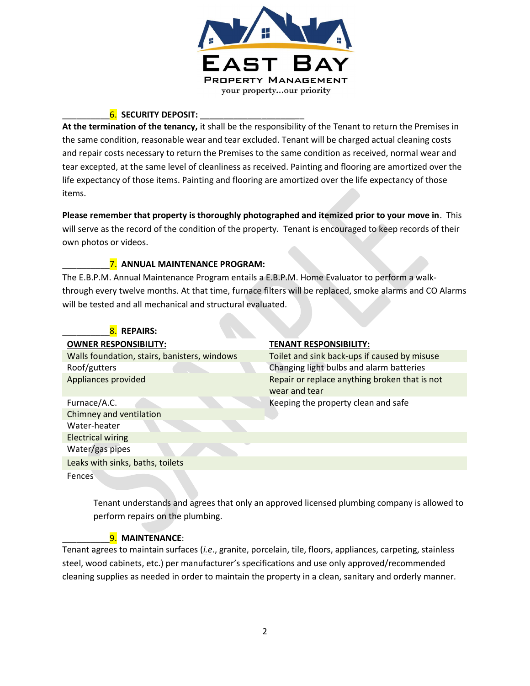

# 6. SECURITY DEPOSIT:

At the termination of the tenancy, it shall be the responsibility of the Tenant to return the Premises in the same condition, reasonable wear and tear excluded. Tenant will be charged actual cleaning costs and repair costs necessary to return the Premises to the same condition as received, normal wear and tear excepted, at the same level of cleanliness as received. Painting and flooring are amortized over the life expectancy of those items. Painting and flooring are amortized over the life expectancy of those items.

Please remember that property is thoroughly photographed and itemized prior to your move in. This will serve as the record of the condition of the property. Tenant is encouraged to keep records of their own photos or videos.

### 7. ANNUAL MAINTENANCE PROGRAM:

The E.B.P.M. Annual Maintenance Program entails a E.B.P.M. Home Evaluator to perform a walkthrough every twelve months. At that time, furnace filters will be replaced, smoke alarms and CO Alarms will be tested and all mechanical and structural evaluated.

| 8. REPAIRS:                                  |                                                                |
|----------------------------------------------|----------------------------------------------------------------|
| <b>OWNER RESPONSIBILITY:</b>                 | <b>TENANT RESPONSIBILITY:</b>                                  |
| Walls foundation, stairs, banisters, windows | Toilet and sink back-ups if caused by misuse                   |
| Roof/gutters                                 | Changing light bulbs and alarm batteries                       |
| Appliances provided                          | Repair or replace anything broken that is not<br>wear and tear |
| Furnace/A.C.                                 | Keeping the property clean and safe                            |
| Chimney and ventilation                      |                                                                |
| Water-heater                                 |                                                                |
| <b>Electrical wiring</b>                     |                                                                |
| Water/gas pipes                              |                                                                |
| Leaks with sinks, baths, toilets             |                                                                |
| <b>Fences</b>                                |                                                                |

Tenant understands and agrees that only an approved licensed plumbing company is allowed to perform repairs on the plumbing.

### 9. MAINTENANCE:

Tenant agrees to maintain surfaces (*i.e.*, granite, porcelain, tile, floors, appliances, carpeting, stainless steel, wood cabinets, etc.) per manufacturer's specifications and use only approved/recommended cleaning supplies as needed in order to maintain the property in a clean, sanitary and orderly manner.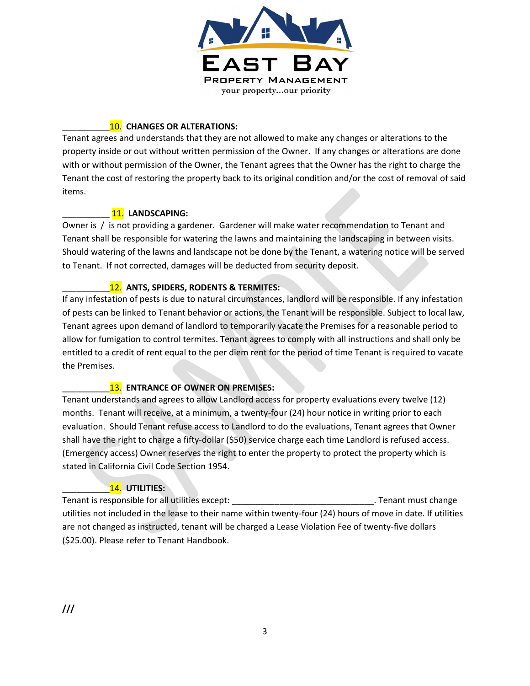

# 10. CHANGES OR ALTERATIONS:

Tenant agrees and understands that they are not allowed to make any changes or alterations to the property inside or out without written permission of the Owner. If any changes or alterations are done with or without permission of the Owner, the Tenant agrees that the Owner has the right to charge the Tenant the cost of restoring the property back to its original condition and/or the cost of removal of said items.

### 11. LANDSCAPING:

Owner is / is not providing a gardener. Gardener will make water recommendation to Tenant and Tenant shall be responsible for watering the lawns and maintaining the landscaping in between visits. Should watering of the lawns and landscape not be done by the Tenant, a watering notice will be served to Tenant. If not corrected, damages will be deducted from security deposit.

# 12. ANTS, SPIDERS, RODENTS & TERMITES:

If any infestation of pests is due to natural circumstances, landlord will be responsible. If any infestation of pests can be linked to Tenant behavior or actions, the Tenant will be responsible. Subject to local law, Tenant agrees upon demand of landlord to temporarily vacate the Premises for a reasonable period to allow for fumigation to control termites. Tenant agrees to comply with all instructions and shall only be entitled to a credit of rent equal to the per diem rent for the period of time Tenant is required to vacate the Premises.

### 13. ENTRANCE OF OWNER ON PREMISES:

Tenant understands and agrees to allow Landlord access for property evaluations every twelve (12) months. Tenant will receive, at a minimum, a twenty-four (24) hour notice in writing prior to each evaluation. Should Tenant refuse access to Landlord to do the evaluations, Tenant agrees that Owner shall have the right to charge a fifty-dollar (\$50) service charge each time Landlord is refused access. (Emergency access) Owner reserves the right to enter the property to protect the property which is stated in California Civil Code Section 1954.

# 14. UTILITIES:

Tenant is responsible for all utilities except: \_\_\_\_\_\_\_\_\_\_\_\_\_\_\_\_\_\_\_\_\_\_\_\_\_\_\_\_\_\_. Tenant must change utilities not included in the lease to their name within twenty-four (24) hours of move in date. If utilities are not changed as instructed, tenant will be charged a Lease Violation Fee of twenty-five dollars (\$25.00). Please refer to Tenant Handbook.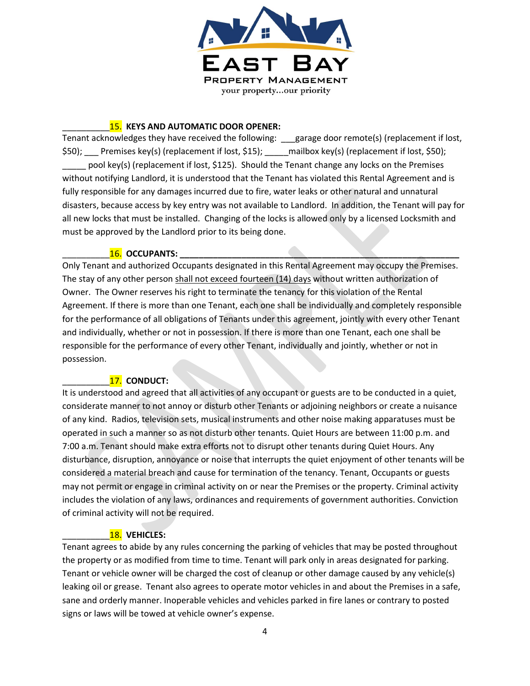

#### 15. KEYS AND AUTOMATIC DOOR OPENER:

Tenant acknowledges they have received the following: \_\_\_garage door remote(s) (replacement if lost, \$50); \_\_\_ Premises key(s) (replacement if lost, \$15); \_\_\_\_\_mailbox key(s) (replacement if lost, \$50); \_\_\_\_\_ pool key(s) (replacement if lost, \$125). Should the Tenant change any locks on the Premises without notifying Landlord, it is understood that the Tenant has violated this Rental Agreement and is fully responsible for any damages incurred due to fire, water leaks or other natural and unnatural disasters, because access by key entry was not available to Landlord. In addition, the Tenant will pay for all new locks that must be installed. Changing of the locks is allowed only by a licensed Locksmith and must be approved by the Landlord prior to its being done.

#### 16. OCCUPANTS:

Only Tenant and authorized Occupants designated in this Rental Agreement may occupy the Premises. The stay of any other person shall not exceed fourteen (14) days without written authorization of Owner. The Owner reserves his right to terminate the tenancy for this violation of the Rental Agreement. If there is more than one Tenant, each one shall be individually and completely responsible for the performance of all obligations of Tenants under this agreement, jointly with every other Tenant and individually, whether or not in possession. If there is more than one Tenant, each one shall be responsible for the performance of every other Tenant, individually and jointly, whether or not in possession.

#### 17. CONDUCT:

It is understood and agreed that all activities of any occupant or guests are to be conducted in a quiet, considerate manner to not annoy or disturb other Tenants or adjoining neighbors or create a nuisance of any kind. Radios, television sets, musical instruments and other noise making apparatuses must be operated in such a manner so as not disturb other tenants. Quiet Hours are between 11:00 p.m. and 7:00 a.m. Tenant should make extra efforts not to disrupt other tenants during Quiet Hours. Any disturbance, disruption, annoyance or noise that interrupts the quiet enjoyment of other tenants will be considered a material breach and cause for termination of the tenancy. Tenant, Occupants or guests may not permit or engage in criminal activity on or near the Premises or the property. Criminal activity includes the violation of any laws, ordinances and requirements of government authorities. Conviction of criminal activity will not be required.

### 18. VEHICLES:

Tenant agrees to abide by any rules concerning the parking of vehicles that may be posted throughout the property or as modified from time to time. Tenant will park only in areas designated for parking. Tenant or vehicle owner will be charged the cost of cleanup or other damage caused by any vehicle(s) leaking oil or grease. Tenant also agrees to operate motor vehicles in and about the Premises in a safe, sane and orderly manner. Inoperable vehicles and vehicles parked in fire lanes or contrary to posted signs or laws will be towed at vehicle owner's expense.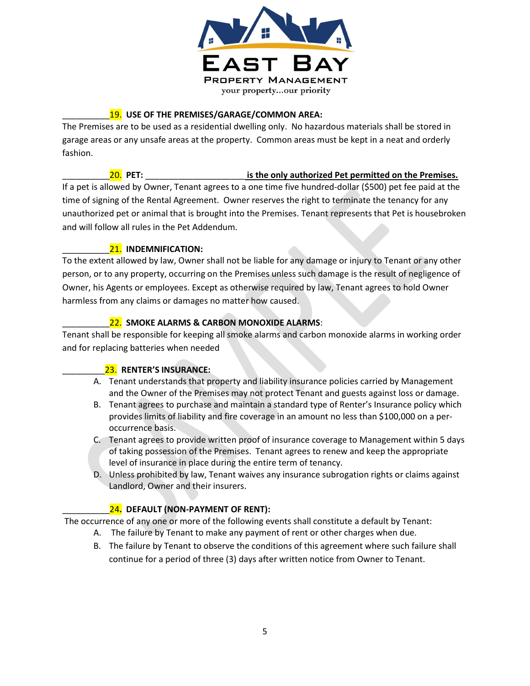

### 19. USE OF THE PREMISES/GARAGE/COMMON AREA:

The Premises are to be used as a residential dwelling only. No hazardous materials shall be stored in garage areas or any unsafe areas at the property. Common areas must be kept in a neat and orderly fashion.

### 20. PET: The only authorized Pet permitted on the Premises.

If a pet is allowed by Owner, Tenant agrees to a one time five hundred-dollar (\$500) pet fee paid at the time of signing of the Rental Agreement. Owner reserves the right to terminate the tenancy for any unauthorized pet or animal that is brought into the Premises. Tenant represents that Pet is housebroken and will follow all rules in the Pet Addendum.

### 21. INDEMNIFICATION:

To the extent allowed by law, Owner shall not be liable for any damage or injury to Tenant or any other person, or to any property, occurring on the Premises unless such damage is the result of negligence of Owner, his Agents or employees. Except as otherwise required by law, Tenant agrees to hold Owner harmless from any claims or damages no matter how caused.

# 22. SMOKE ALARMS & CARBON MONOXIDE ALARMS:

Tenant shall be responsible for keeping all smoke alarms and carbon monoxide alarms in working order and for replacing batteries when needed

# 23. RENTER'S INSURANCE:

- A. Tenant understands that property and liability insurance policies carried by Management and the Owner of the Premises may not protect Tenant and guests against loss or damage.
- B. Tenant agrees to purchase and maintain a standard type of Renter's Insurance policy which provides limits of liability and fire coverage in an amount no less than \$100,000 on a peroccurrence basis.
- C. Tenant agrees to provide written proof of insurance coverage to Management within 5 days of taking possession of the Premises. Tenant agrees to renew and keep the appropriate level of insurance in place during the entire term of tenancy.
- D. Unless prohibited by law, Tenant waives any insurance subrogation rights or claims against Landlord, Owner and their insurers.

# 24. DEFAULT (NON-PAYMENT OF RENT):

The occurrence of any one or more of the following events shall constitute a default by Tenant:

- A. The failure by Tenant to make any payment of rent or other charges when due.
- B. The failure by Tenant to observe the conditions of this agreement where such failure shall continue for a period of three (3) days after written notice from Owner to Tenant.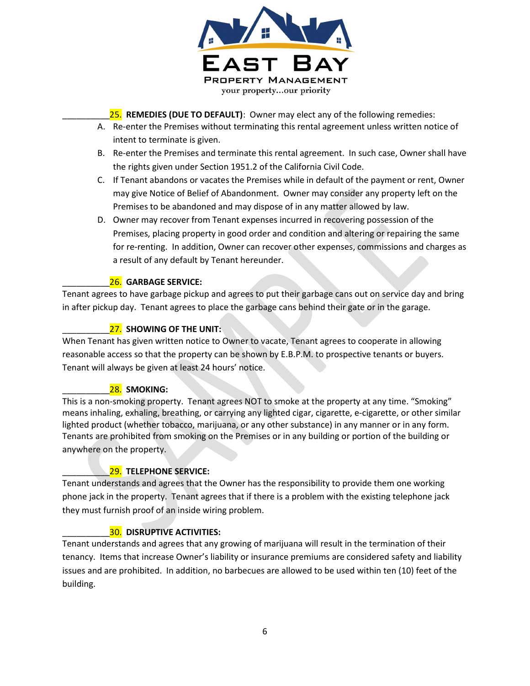

25. REMEDIES (DUE TO DEFAULT): Owner may elect any of the following remedies:

- A. Re-enter the Premises without terminating this rental agreement unless written notice of intent to terminate is given.
- B. Re-enter the Premises and terminate this rental agreement. In such case, Owner shall have the rights given under Section 1951.2 of the California Civil Code.
- C. If Tenant abandons or vacates the Premises while in default of the payment or rent, Owner may give Notice of Belief of Abandonment. Owner may consider any property left on the Premises to be abandoned and may dispose of in any matter allowed by law.
- D. Owner may recover from Tenant expenses incurred in recovering possession of the Premises, placing property in good order and condition and altering or repairing the same for re-renting. In addition, Owner can recover other expenses, commissions and charges as a result of any default by Tenant hereunder.

#### 26. GARBAGE SERVICE:

Tenant agrees to have garbage pickup and agrees to put their garbage cans out on service day and bring in after pickup day. Tenant agrees to place the garbage cans behind their gate or in the garage.

# 27. SHOWING OF THE UNIT:

When Tenant has given written notice to Owner to vacate, Tenant agrees to cooperate in allowing reasonable access so that the property can be shown by E.B.P.M. to prospective tenants or buyers. Tenant will always be given at least 24 hours' notice.

### 28. SMOKING:

This is a non-smoking property. Tenant agrees NOT to smoke at the property at any time. "Smoking" means inhaling, exhaling, breathing, or carrying any lighted cigar, cigarette, e-cigarette, or other similar lighted product (whether tobacco, marijuana, or any other substance) in any manner or in any form. Tenants are prohibited from smoking on the Premises or in any building or portion of the building or anywhere on the property.

### 29. TELEPHONE SERVICE:

Tenant understands and agrees that the Owner has the responsibility to provide them one working phone jack in the property. Tenant agrees that if there is a problem with the existing telephone jack they must furnish proof of an inside wiring problem.

### **30. DISRUPTIVE ACTIVITIES:**

Tenant understands and agrees that any growing of marijuana will result in the termination of their tenancy. Items that increase Owner's liability or insurance premiums are considered safety and liability issues and are prohibited. In addition, no barbecues are allowed to be used within ten (10) feet of the building.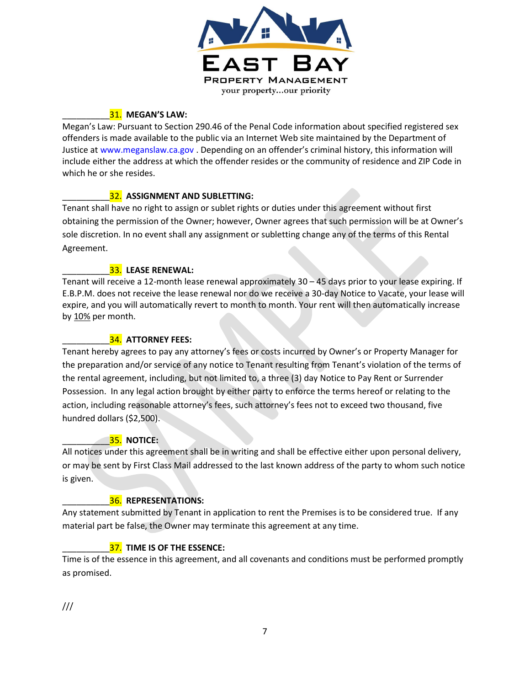

# 31. MEGAN'S LAW:

Megan's Law: Pursuant to Section 290.46 of the Penal Code information about specified registered sex offenders is made available to the public via an Internet Web site maintained by the Department of Justice at www.meganslaw.ca.gov . Depending on an offender's criminal history, this information will include either the address at which the offender resides or the community of residence and ZIP Code in which he or she resides.

# 32. ASSIGNMENT AND SUBLETTING:

Tenant shall have no right to assign or sublet rights or duties under this agreement without first obtaining the permission of the Owner; however, Owner agrees that such permission will be at Owner's sole discretion. In no event shall any assignment or subletting change any of the terms of this Rental Agreement.

### 33. LEASE RENEWAL:

Tenant will receive a 12-month lease renewal approximately 30 – 45 days prior to your lease expiring. If E.B.P.M. does not receive the lease renewal nor do we receive a 30-day Notice to Vacate, your lease will expire, and you will automatically revert to month to month. Your rent will then automatically increase by 10% per month.

### 34. ATTORNEY FEES:

Tenant hereby agrees to pay any attorney's fees or costs incurred by Owner's or Property Manager for the preparation and/or service of any notice to Tenant resulting from Tenant's violation of the terms of the rental agreement, including, but not limited to, a three (3) day Notice to Pay Rent or Surrender Possession. In any legal action brought by either party to enforce the terms hereof or relating to the action, including reasonable attorney's fees, such attorney's fees not to exceed two thousand, five hundred dollars (\$2,500).

### $\overline{\phantom{a}35.}$  notice:

All notices under this agreement shall be in writing and shall be effective either upon personal delivery, or may be sent by First Class Mail addressed to the last known address of the party to whom such notice is given.

### 36. REPRESENTATIONS:

Any statement submitted by Tenant in application to rent the Premises is to be considered true. If any material part be false, the Owner may terminate this agreement at any time.

### 37. TIME IS OF THE ESSENCE:

Time is of the essence in this agreement, and all covenants and conditions must be performed promptly as promised.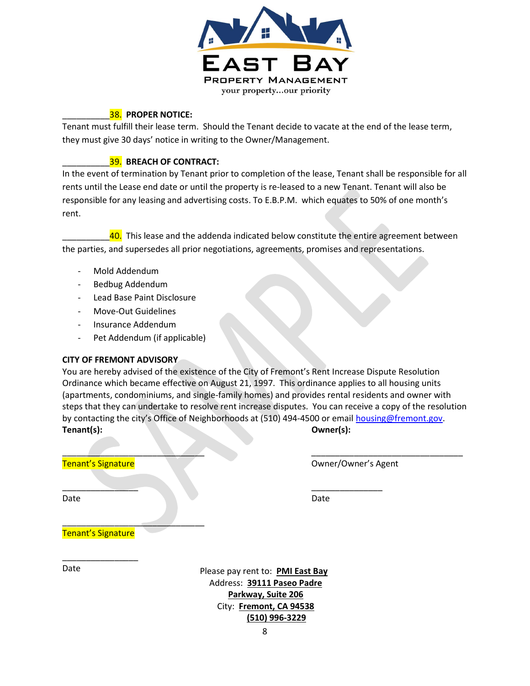

#### 38. PROPER NOTICE:

Tenant must fulfill their lease term. Should the Tenant decide to vacate at the end of the lease term, they must give 30 days' notice in writing to the Owner/Management.

#### 39. BREACH OF CONTRACT:

In the event of termination by Tenant prior to completion of the lease, Tenant shall be responsible for all rents until the Lease end date or until the property is re-leased to a new Tenant. Tenant will also be responsible for any leasing and advertising costs. To E.B.P.M. which equates to 50% of one month's rent.

40. This lease and the addenda indicated below constitute the entire agreement between the parties, and supersedes all prior negotiations, agreements, promises and representations.

- Mold Addendum
- Bedbug Addendum
- Lead Base Paint Disclosure
- Move-Out Guidelines
- Insurance Addendum
- Pet Addendum (if applicable)

#### CITY OF FREMONT ADVISORY

You are hereby advised of the existence of the City of Fremont's Rent Increase Dispute Resolution Ordinance which became effective on August 21, 1997. This ordinance applies to all housing units (apartments, condominiums, and single-family homes) and provides rental residents and owner with steps that they can undertake to resolve rent increase disputes. You can receive a copy of the resolution by contacting the city's Office of Neighborhoods at (510) 494-4500 or email housing@fremont.gov. Tenant(s): Owner(s):

\_\_\_\_\_\_\_\_\_\_\_\_\_\_\_\_ \_\_\_\_\_\_\_\_\_\_\_\_\_\_\_

 $\blacksquare$  . The contract of the contract of the contract of the contract of the contract of the contract of the contract of the contract of the contract of the contract of the contract of the contract of the contract of the **Tenant's Signature Community Community Community Community Community Community Community Community Community Community Community Community Community Community Community Community Community Community Community Community Co** 

Date Date

Tenant's Signature

\_\_\_\_\_\_\_\_\_\_\_\_\_\_\_\_

\_\_\_\_\_\_\_\_\_\_\_\_\_\_\_\_\_\_\_\_\_\_\_\_\_\_\_\_\_\_

Date **Please pay rent to: PMI East Bay** Address: 39111 Paseo Padre Parkway, Suite 206 City: Fremont, CA 94538 (510) 996-3229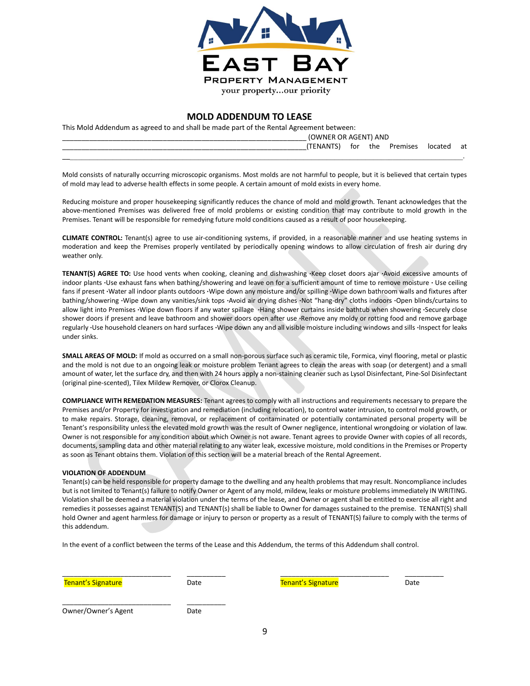

#### MOLD ADDENDUM TO LEASE

This Mold Addendum as agreed to and shall be made part of the Rental Agreement between:

| (OWNER OR AGENT) AND |     |     |          |       |    |
|----------------------|-----|-----|----------|-------|----|
| <b>TFNANTS</b><br>.  | tor | the | Premises | loca. | at |
|                      |     |     |          |       |    |

Mold consists of naturally occurring microscopic organisms. Most molds are not harmful to people, but it is believed that certain types of mold may lead to adverse health effects in some people. A certain amount of mold exists in every home.

Reducing moisture and proper housekeeping significantly reduces the chance of mold and mold growth. Tenant acknowledges that the above-mentioned Premises was delivered free of mold problems or existing condition that may contribute to mold growth in the Premises. Tenant will be responsible for remedying future mold conditions caused as a result of poor housekeeping.

CLIMATE CONTROL: Tenant(s) agree to use air-conditioning systems, if provided, in a reasonable manner and use heating systems in moderation and keep the Premises properly ventilated by periodically opening windows to allow circulation of fresh air during dry weather only.

TENANT(S) AGREE TO: Use hood vents when cooking, cleaning and dishwashing ·Keep closet doors ajar ·Avoid excessive amounts of indoor plants ·Use exhaust fans when bathing/showering and leave on for a sufficient amount of time to remove moisture · Use ceiling fans if present ·Water all indoor plants outdoors ·Wipe down any moisture and/or spilling ·Wipe down bathroom walls and fixtures after bathing/showering ·Wipe down any vanities/sink tops ·Avoid air drying dishes ·Not "hang-dry" cloths indoors ·Open blinds/curtains to allow light into Premises ·Wipe down floors if any water spillage ·Hang shower curtains inside bathtub when showering ·Securely close shower doors if present and leave bathroom and shower doors open after use ·Remove any moldy or rotting food and remove garbage regularly ·Use household cleaners on hard surfaces ·Wipe down any and all visible moisture including windows and sills ·Inspect for leaks under sinks.

SMALL AREAS OF MOLD: If mold as occurred on a small non-porous surface such as ceramic tile, Formica, vinyl flooring, metal or plastic and the mold is not due to an ongoing leak or moisture problem Tenant agrees to clean the areas with soap (or detergent) and a small amount of water, let the surface dry, and then with 24 hours apply a non-staining cleaner such as Lysol Disinfectant, Pine-Sol Disinfectant (original pine-scented), Tilex Mildew Remover, or Clorox Cleanup.

COMPLIANCE WITH REMEDATION MEASURES: Tenant agrees to comply with all instructions and requirements necessary to prepare the Premises and/or Property for investigation and remediation (including relocation), to control water intrusion, to control mold growth, or to make repairs. Storage, cleaning, removal, or replacement of contaminated or potentially contaminated personal property will be Tenant's responsibility unless the elevated mold growth was the result of Owner negligence, intentional wrongdoing or violation of law. Owner is not responsible for any condition about which Owner is not aware. Tenant agrees to provide Owner with copies of all records, documents, sampling data and other material relating to any water leak, excessive moisture, mold conditions in the Premises or Property as soon as Tenant obtains them. Violation of this section will be a material breach of the Rental Agreement.

#### VIOLATION OF ADDENDUM

Tenant(s) can be held responsible for property damage to the dwelling and any health problems that may result. Noncompliance includes but is not limited to Tenant(s) failure to notify Owner or Agent of any mold, mildew, leaks or moisture problems immediately IN WRITING. Violation shall be deemed a material violation under the terms of the lease, and Owner or agent shall be entitled to exercise all right and remedies it possesses against TENANT(S) and TENANT(s) shall be liable to Owner for damages sustained to the premise. TENANT(S) shall hold Owner and agent harmless for damage or injury to person or property as a result of TENANT(S) failure to comply with the terms of this addendum.

In the event of a conflict between the terms of the Lease and this Addendum, the terms of this Addendum shall control.

\_\_\_\_\_\_\_\_\_\_\_\_\_\_\_\_\_\_\_\_\_\_\_\_\_\_\_\_ \_\_\_\_\_\_\_\_\_\_ \_\_\_\_\_\_\_\_\_\_\_\_\_\_\_\_\_\_\_\_\_\_\_\_\_\_\_\_ \_\_\_\_\_\_\_\_\_\_

Tenant's Signature Tenant's Signature Date Charles Controller Charles Charles Date Date

Owner/Owner's Agent Date

\_\_\_\_\_\_\_\_\_\_\_\_\_\_\_\_\_\_\_\_\_\_\_\_\_\_\_\_ \_\_\_\_\_\_\_\_\_\_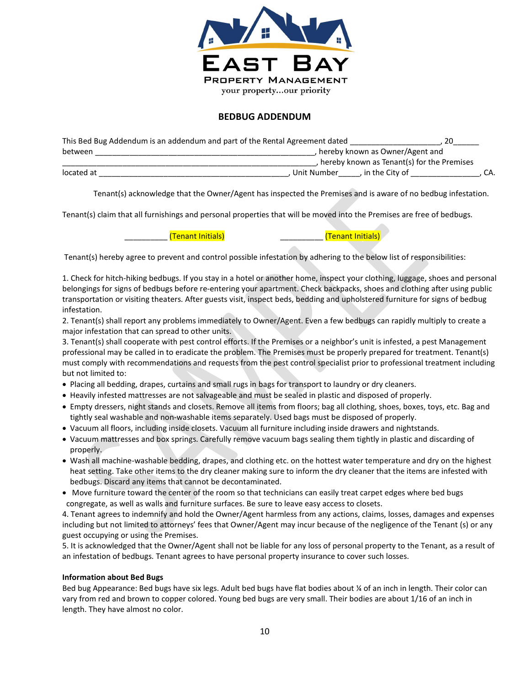

#### BEDBUG ADDENDUM

| This Bed Bug Addendum is an addendum and part of the Rental Agreement dated |                                            |     |
|-----------------------------------------------------------------------------|--------------------------------------------|-----|
| between                                                                     | hereby known as Owner/Agent and            |     |
|                                                                             | hereby known as Tenant(s) for the Premises |     |
| located at                                                                  | Unit Number<br>. in the City of            | CA. |

Tenant(s) acknowledge that the Owner/Agent has inspected the Premises and is aware of no bedbug infestation.

Tenant(s) claim that all furnishings and personal properties that will be moved into the Premises are free of bedbugs.

\_\_\_\_\_\_\_\_\_\_ (Tenant Initials) \_\_\_\_\_\_\_\_\_\_ (Tenant Initials)

Tenant(s) hereby agree to prevent and control possible infestation by adhering to the below list of responsibilities:

1. Check for hitch-hiking bedbugs. If you stay in a hotel or another home, inspect your clothing, luggage, shoes and personal belongings for signs of bedbugs before re-entering your apartment. Check backpacks, shoes and clothing after using public transportation or visiting theaters. After guests visit, inspect beds, bedding and upholstered furniture for signs of bedbug infestation.

2. Tenant(s) shall report any problems immediately to Owner/Agent. Even a few bedbugs can rapidly multiply to create a major infestation that can spread to other units.

3. Tenant(s) shall cooperate with pest control efforts. If the Premises or a neighbor's unit is infested, a pest Management professional may be called in to eradicate the problem. The Premises must be properly prepared for treatment. Tenant(s) must comply with recommendations and requests from the pest control specialist prior to professional treatment including but not limited to:

- Placing all bedding, drapes, curtains and small rugs in bags for transport to laundry or dry cleaners.
- Heavily infested mattresses are not salvageable and must be sealed in plastic and disposed of properly.
- Empty dressers, night stands and closets. Remove all items from floors; bag all clothing, shoes, boxes, toys, etc. Bag and tightly seal washable and non-washable items separately. Used bags must be disposed of properly.
- Vacuum all floors, including inside closets. Vacuum all furniture including inside drawers and nightstands.
- Vacuum mattresses and box springs. Carefully remove vacuum bags sealing them tightly in plastic and discarding of properly.
- Wash all machine-washable bedding, drapes, and clothing etc. on the hottest water temperature and dry on the highest heat setting. Take other items to the dry cleaner making sure to inform the dry cleaner that the items are infested with bedbugs. Discard any items that cannot be decontaminated.
- Move furniture toward the center of the room so that technicians can easily treat carpet edges where bed bugs congregate, as well as walls and furniture surfaces. Be sure to leave easy access to closets.

4. Tenant agrees to indemnify and hold the Owner/Agent harmless from any actions, claims, losses, damages and expenses including but not limited to attorneys' fees that Owner/Agent may incur because of the negligence of the Tenant (s) or any guest occupying or using the Premises.

5. It is acknowledged that the Owner/Agent shall not be liable for any loss of personal property to the Tenant, as a result of an infestation of bedbugs. Tenant agrees to have personal property insurance to cover such losses.

#### Information about Bed Bugs

Bed bug Appearance: Bed bugs have six legs. Adult bed bugs have flat bodies about ¼ of an inch in length. Their color can vary from red and brown to copper colored. Young bed bugs are very small. Their bodies are about 1/16 of an inch in length. They have almost no color.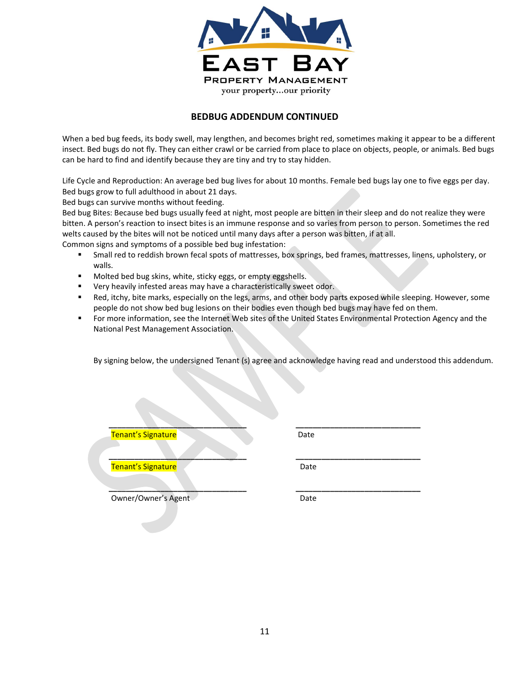

#### BEDBUG ADDENDUM CONTINUED

When a bed bug feeds, its body swell, may lengthen, and becomes bright red, sometimes making it appear to be a different insect. Bed bugs do not fly. They can either crawl or be carried from place to place on objects, people, or animals. Bed bugs can be hard to find and identify because they are tiny and try to stay hidden.

Life Cycle and Reproduction: An average bed bug lives for about 10 months. Female bed bugs lay one to five eggs per day. Bed bugs grow to full adulthood in about 21 days.

Bed bugs can survive months without feeding.

Bed bug Bites: Because bed bugs usually feed at night, most people are bitten in their sleep and do not realize they were bitten. A person's reaction to insect bites is an immune response and so varies from person to person. Sometimes the red welts caused by the bites will not be noticed until many days after a person was bitten, if at all.

Common signs and symptoms of a possible bed bug infestation:

- Small red to reddish brown fecal spots of mattresses, box springs, bed frames, mattresses, linens, upholstery, or walls.
- Molted bed bug skins, white, sticky eggs, or empty eggshells.
- Very heavily infested areas may have a characteristically sweet odor.
- Red, itchy, bite marks, especially on the legs, arms, and other body parts exposed while sleeping. However, some people do not show bed bug lesions on their bodies even though bed bugs may have fed on them.
- For more information, see the Internet Web sites of the United States Environmental Protection Agency and the National Pest Management Association.

\_\_\_\_\_\_\_\_\_\_\_\_\_\_\_\_\_\_\_\_\_\_\_\_\_\_\_\_\_\_\_\_ \_\_\_\_\_\_\_\_\_\_\_\_\_\_\_\_\_\_\_\_\_\_\_\_\_\_\_\_\_

\_\_\_\_\_\_\_\_\_\_\_\_\_\_\_\_\_\_\_\_\_\_\_\_\_\_\_\_\_\_\_\_ \_\_\_\_\_\_\_\_\_\_\_\_\_\_\_\_\_\_\_\_\_\_\_\_\_\_\_\_\_

By signing below, the undersigned Tenant (s) agree and acknowledge having read and understood this addendum.

Tenant's Signature **Date** 

 $\frac{1}{2}$  ,  $\frac{1}{2}$  ,  $\frac{1}{2}$  ,  $\frac{1}{2}$  ,  $\frac{1}{2}$  ,  $\frac{1}{2}$  ,  $\frac{1}{2}$  ,  $\frac{1}{2}$  ,  $\frac{1}{2}$  ,  $\frac{1}{2}$  ,  $\frac{1}{2}$  ,  $\frac{1}{2}$  ,  $\frac{1}{2}$  ,  $\frac{1}{2}$  ,  $\frac{1}{2}$  ,  $\frac{1}{2}$  ,  $\frac{1}{2}$  ,  $\frac{1}{2}$  ,  $\frac{1$ **Tenant's Signature Date** 

Owner/Owner's Agent Date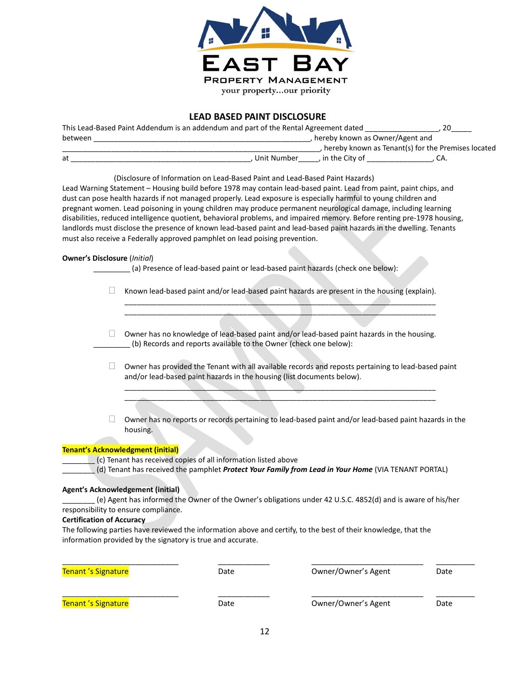

#### LEAD BASED PAINT DISCLOSURE

| This Lead-Based Paint Addendum is an addendum and part of the Rental Agreement dated |               |                                   |                                                      |
|--------------------------------------------------------------------------------------|---------------|-----------------------------------|------------------------------------------------------|
| between                                                                              |               | , hereby known as Owner/Agent and |                                                      |
|                                                                                      |               |                                   | , hereby known as Tenant(s) for the Premises located |
| at                                                                                   | . Unit Number | . in the City of                  | LA.                                                  |

(Disclosure of Information on Lead-Based Paint and Lead-Based Paint Hazards)

Lead Warning Statement – Housing build before 1978 may contain lead-based paint. Lead from paint, paint chips, and dust can pose health hazards if not managed properly. Lead exposure is especially harmful to young children and pregnant women. Lead poisoning in young children may produce permanent neurological damage, including learning disabilities, reduced intelligence quotient, behavioral problems, and impaired memory. Before renting pre-1978 housing, landlords must disclose the presence of known lead-based paint and lead-based paint hazards in the dwelling. Tenants must also receive a Federally approved pamphlet on lead poising prevention.

#### Owner's Disclosure (Initial)

(a) Presence of lead-based paint or lead-based paint hazards (check one below):

 $\Box$  Known lead-based paint and/or lead-based paint hazards are present in the housing (explain).

\_\_\_\_\_\_\_\_\_\_\_\_\_\_\_\_\_\_\_\_\_\_\_\_\_\_\_\_\_\_\_\_\_\_\_\_\_\_\_\_\_\_\_\_\_\_\_\_\_\_\_\_\_\_\_\_\_\_\_\_\_\_\_\_\_\_\_\_\_\_\_\_\_\_\_\_ \_\_\_\_\_\_\_\_\_\_\_\_\_\_\_\_\_\_\_\_\_\_\_\_\_\_\_\_\_\_\_\_\_\_\_\_\_\_\_\_\_\_\_\_\_\_\_\_\_\_\_\_\_\_\_\_\_\_\_\_\_\_\_\_\_\_\_\_\_\_\_\_\_\_\_\_

 $\Box$  Owner has no knowledge of lead-based paint and/or lead-based paint hazards in the housing. \_\_\_\_\_\_\_\_\_ (b) Records and reports available to the Owner (check one below):

 $\Box$  Owner has provided the Tenant with all available records and reposts pertaining to lead-based paint and/or lead-based paint hazards in the housing (list documents below). \_\_\_\_\_\_\_\_\_\_\_\_\_\_\_\_\_\_\_\_\_\_\_\_\_\_\_\_\_\_\_\_\_\_\_\_\_\_\_\_\_\_\_\_\_\_\_\_\_\_\_\_\_\_\_\_\_\_\_\_\_\_\_\_\_\_\_\_\_\_\_\_\_\_\_\_

 $\overbrace{\phantom{xxxxx}}$ 

 $\Box$  Owner has no reports or records pertaining to lead-based paint and/or lead-based paint hazards in the housing.

#### Tenant's Acknowledgment (initial)

\_\_\_\_\_\_\_\_ (c) Tenant has received copies of all information listed above

(d) Tenant has received the pamphlet Protect Your Family from Lead in Your Home (VIA TENANT PORTAL)

#### Agent's Acknowledgement (initial)

\_\_\_\_\_\_\_\_ (e) Agent has informed the Owner of the Owner's obligations under 42 U.S.C. 4852(d) and is aware of his/her responsibility to ensure compliance.

#### Certification of Accuracy

The following parties have reviewed the information above and certify, to the best of their knowledge, that the information provided by the signatory is true and accurate.

| Tenant 's Signature        | Date | Owner/Owner's Agent | Date |
|----------------------------|------|---------------------|------|
| <b>Tenant 's Signature</b> | Date | Owner/Owner's Agent | Date |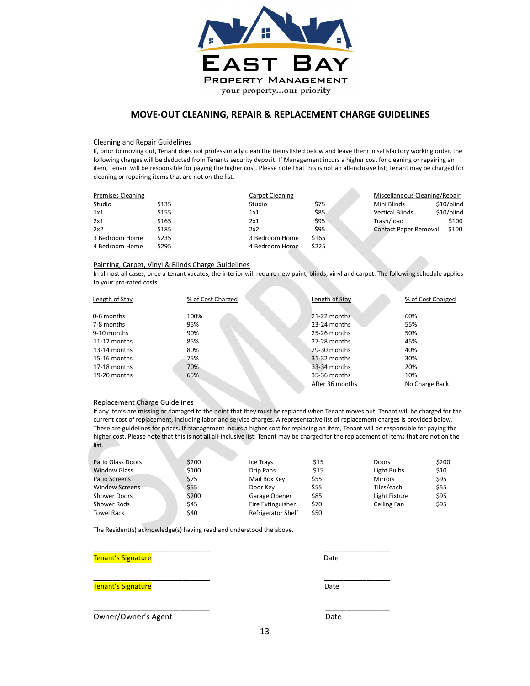

#### MOVE-OUT CLEANING, REPAIR & REPLACEMENT CHARGE GUIDELINES

#### Cleaning and Repair Guidelines

If, prior to moving out, Tenant does not professionally clean the items listed below and leave them in satisfactory working order, the following charges will be deducted from Tenants security deposit. If Management incurs a higher cost for cleaning or repairing an item, Tenant will be responsible for paying the higher cost. Please note that this is not an all-inclusive list; Tenant may be charged for cleaning or repairing items that are not on the list.

| <b>Premises Cleaning</b> |       | Carpet Cleaning |       | Miscellaneous Cleaning/Repair |            |
|--------------------------|-------|-----------------|-------|-------------------------------|------------|
| Studio                   | \$135 | Studio          | \$75  | Mini Blinds                   | \$10/blind |
| 1x1                      | \$155 | 1x1             | \$85  | <b>Vertical Blinds</b>        | \$10/blind |
| 2x1                      | \$165 | 2x1             | \$95  | Trash/load                    | \$100      |
| 2x2                      | \$185 | 2x2             | \$95  | Contact Paper Removal         | \$100      |
| 3 Bedroom Home           | \$235 | 3 Bedroom Home  | \$165 |                               |            |
| 4 Bedroom Home           | \$295 | 4 Bedroom Home  | \$225 |                               |            |

#### Painting, Carpet, Vinyl & Blinds Charge Guidelines

In almost all cases, once a tenant vacates, the interior will require new paint, blinds, vinyl and carpet. The following schedule applies to your pro-rated costs.

| Length of Stay | % of Cost Charged | Length of Stay  | % of Cost Charged |
|----------------|-------------------|-----------------|-------------------|
| 0-6 months     | 100%              | 21-22 months    | 60%               |
| 7-8 months     | 95%               | 23-24 months    | 55%               |
| 9-10 months    | 90%               | 25-26 months    | 50%               |
| $11-12$ months | 85%               | 27-28 months    | 45%               |
| 13-14 months   | 80%               | 29-30 months    | 40%               |
| 15-16 months   | 75%               | 31-32 months    | 30%               |
| 17-18 months   | 70%               | 33-34 months    | 20%               |
| 19-20 months   | 65%               | 35-36 months    | 10%               |
|                |                   | After 36 months | No Charge Back    |

#### Replacement Charge Guidelines

If any items are missing or damaged to the point that they must be replaced when Tenant moves out, Tenant will be charged for the current cost of replacement, including labor and service charges. A representative list of replacement charges is provided below. These are guidelines for prices. If management incurs a higher cost for replacing an item, Tenant will be responsible for paying the higher cost. Please note that this is not all all-inclusive list; Tenant may be charged for the replacement of items that are not on the list.

| Patio Glass Doors     | \$200 | Ice Trays          | \$15 | <b>Doors</b>   | \$200 |
|-----------------------|-------|--------------------|------|----------------|-------|
| <b>Window Glass</b>   | \$100 | Drip Pans          | \$15 | Light Bulbs    | \$10  |
| Patio Screens         | \$75  | Mail Box Key       | \$55 | <b>Mirrors</b> | \$95  |
| <b>Window Screens</b> | \$55  | Door Key           | \$55 | Tiles/each     | \$55  |
| <b>Shower Doors</b>   | \$200 | Garage Opener      | \$85 | Light Fixture  | \$95  |
| Shower Rods           | \$45  | Fire Extinguisher  | \$70 | Ceiling Fan    | \$95  |
| <b>Towel Rack</b>     | \$40  | Refrigerator Shelf | \$50 |                |       |

The Resident(s) acknowledge(s) having read and understood the above.

| <b>Tenant's Signature</b> | Date |
|---------------------------|------|
|---------------------------|------|

| ate |  |
|-----|--|
|     |  |

Tenant's Signature and Controller and Controller and Controller and Controller and Date

Owner/Owner's Agent **Date** Date

13

\_\_\_\_\_\_\_\_\_\_\_\_\_\_\_\_\_\_\_\_\_\_\_\_\_\_\_\_\_\_ \_\_\_\_\_\_\_\_\_\_\_\_\_\_\_\_\_

\_\_\_\_\_\_\_\_\_\_\_\_\_\_\_\_\_\_\_\_\_\_\_\_\_\_\_\_\_\_ \_\_\_\_\_\_\_\_\_\_\_\_\_\_\_\_\_

\_\_\_\_\_\_\_\_\_\_\_\_\_\_\_\_\_\_\_\_\_\_\_\_\_\_\_ \_\_\_\_\_\_\_\_\_\_\_\_\_\_\_